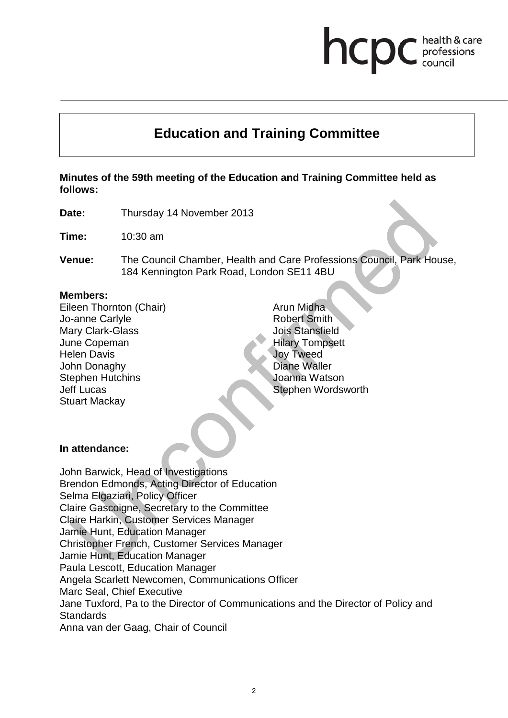# **Education and Training Committee**

**Minutes of the 59th meeting of the Education and Training Committee held as follows:**

**Date:** Thursday 14 November 2013

**Time:** 10:30 am

**Venue:** The Council Chamber, Health and Care Professions Council, Park House, 184 Kennington Park Road, London SE11 4BU

#### **Members:**

Eileen Thornton (Chair) Jo-anne Carlyle Mary Clark-Glass June Copeman Helen Davis John Donaghy Stephen Hutchins Jeff Lucas Stuart Mackay

Arun Midha Robert Smith Jois Stansfield Hilary Tompsett Joy Tweed Diane Waller Joanna Watson Stephen Wordsworth health & care

professions

hcp

#### **In attendance:**

John Barwick, Head of Investigations Brendon Edmonds, Acting Director of Education Selma Elgaziari, Policy Officer Claire Gascoigne, Secretary to the Committee Claire Harkin, Customer Services Manager Jamie Hunt, Education Manager Christopher French, Customer Services Manager Jamie Hunt, Education Manager Paula Lescott, Education Manager Angela Scarlett Newcomen, Communications Officer Marc Seal, Chief Executive Jane Tuxford, Pa to the Director of Communications and the Director of Policy and **Standards** Anna van der Gaag, Chair of Council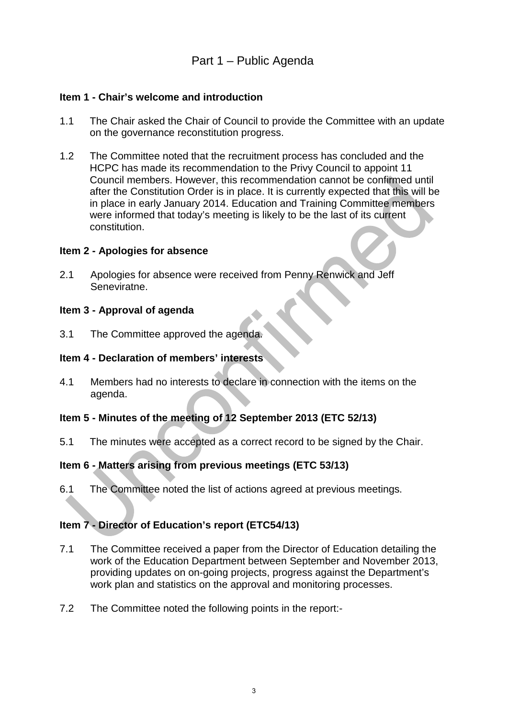# Part 1 – Public Agenda

#### **Item 1 - Chair's welcome and introduction**

- 1.1 The Chair asked the Chair of Council to provide the Committee with an update on the governance reconstitution progress.
- 1.2 The Committee noted that the recruitment process has concluded and the HCPC has made its recommendation to the Privy Council to appoint 11 Council members. However, this recommendation cannot be confirmed until after the Constitution Order is in place. It is currently expected that this will be in place in early January 2014. Education and Training Committee members were informed that today's meeting is likely to be the last of its current constitution.

#### **Item 2 - Apologies for absence**

2.1 Apologies for absence were received from Penny Renwick and Jeff Seneviratne.

#### **Item 3 - Approval of agenda**

3.1 The Committee approved the agenda.

#### **Item 4 - Declaration of members' interests**

4.1 Members had no interests to declare in connection with the items on the agenda.

#### **Item 5 - Minutes of the meeting of 12 September 2013 (ETC 52/13)**

5.1 The minutes were accepted as a correct record to be signed by the Chair.

#### **Item 6 - Matters arising from previous meetings (ETC 53/13)**

6.1 The Committee noted the list of actions agreed at previous meetings.

#### **Item 7 - Director of Education's report (ETC54/13)**

- 7.1 The Committee received a paper from the Director of Education detailing the work of the Education Department between September and November 2013, providing updates on on-going projects, progress against the Department's work plan and statistics on the approval and monitoring processes.
- 7.2 The Committee noted the following points in the report:-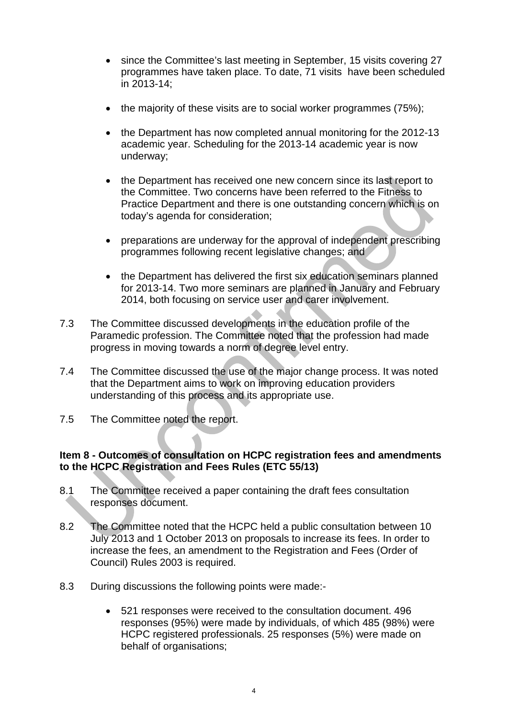- since the Committee's last meeting in September, 15 visits covering 27 programmes have taken place. To date, 71 visits have been scheduled in 2013-14;
- the majority of these visits are to social worker programmes (75%);
- the Department has now completed annual monitoring for the 2012-13 academic year. Scheduling for the 2013-14 academic year is now underway;
- the Department has received one new concern since its last report to the Committee. Two concerns have been referred to the Fitness to Practice Department and there is one outstanding concern which is on today's agenda for consideration;
- preparations are underway for the approval of independent prescribing programmes following recent legislative changes; and
- the Department has delivered the first six education seminars planned for 2013-14. Two more seminars are planned in January and February 2014, both focusing on service user and carer involvement.
- 7.3 The Committee discussed developments in the education profile of the Paramedic profession. The Committee noted that the profession had made progress in moving towards a norm of degree level entry.
- 7.4 The Committee discussed the use of the major change process. It was noted that the Department aims to work on improving education providers understanding of this process and its appropriate use.
- 7.5 The Committee noted the report.

#### **Item 8 - Outcomes of consultation on HCPC registration fees and amendments to the HCPC Registration and Fees Rules (ETC 55/13)**

- 8.1 The Committee received a paper containing the draft fees consultation responses document.
- 8.2 The Committee noted that the HCPC held a public consultation between 10 July 2013 and 1 October 2013 on proposals to increase its fees. In order to increase the fees, an amendment to the Registration and Fees (Order of Council) Rules 2003 is required.
- 8.3 During discussions the following points were made:-
	- 521 responses were received to the consultation document. 496 responses (95%) were made by individuals, of which 485 (98%) were HCPC registered professionals. 25 responses (5%) were made on behalf of organisations;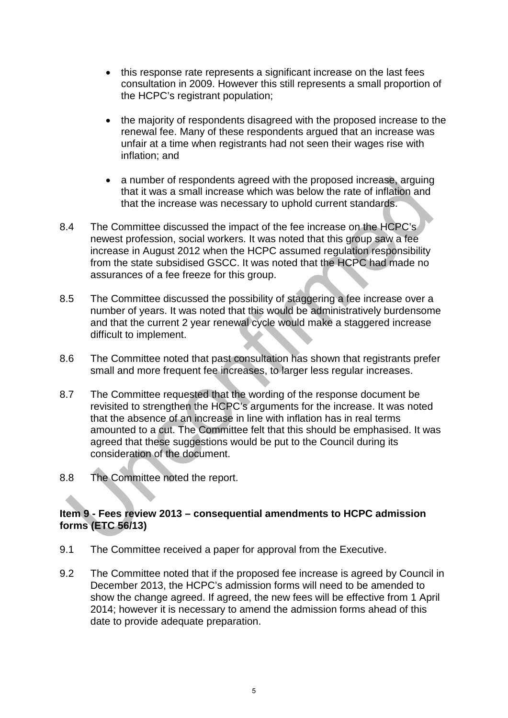- this response rate represents a significant increase on the last fees consultation in 2009. However this still represents a small proportion of the HCPC's registrant population;
- the majority of respondents disagreed with the proposed increase to the renewal fee. Many of these respondents argued that an increase was unfair at a time when registrants had not seen their wages rise with inflation; and
- a number of respondents agreed with the proposed increase, arguing that it was a small increase which was below the rate of inflation and that the increase was necessary to uphold current standards.
- 8.4 The Committee discussed the impact of the fee increase on the HCPC's newest profession, social workers. It was noted that this group saw a fee increase in August 2012 when the HCPC assumed regulation responsibility from the state subsidised GSCC. It was noted that the HCPC had made no assurances of a fee freeze for this group.
- 8.5 The Committee discussed the possibility of staggering a fee increase over a number of years. It was noted that this would be administratively burdensome and that the current 2 year renewal cycle would make a staggered increase difficult to implement.
- 8.6 The Committee noted that past consultation has shown that registrants prefer small and more frequent fee increases, to larger less regular increases.
- 8.7 The Committee requested that the wording of the response document be revisited to strengthen the HCPC's arguments for the increase. It was noted that the absence of an increase in line with inflation has in real terms amounted to a cut. The Committee felt that this should be emphasised. It was agreed that these suggestions would be put to the Council during its consideration of the document.
- 8.8 The Committee noted the report.

#### **Item 9 - Fees review 2013 – consequential amendments to HCPC admission forms (ETC 56/13)**

- 9.1 The Committee received a paper for approval from the Executive.
- 9.2 The Committee noted that if the proposed fee increase is agreed by Council in December 2013, the HCPC's admission forms will need to be amended to show the change agreed. If agreed, the new fees will be effective from 1 April 2014; however it is necessary to amend the admission forms ahead of this date to provide adequate preparation.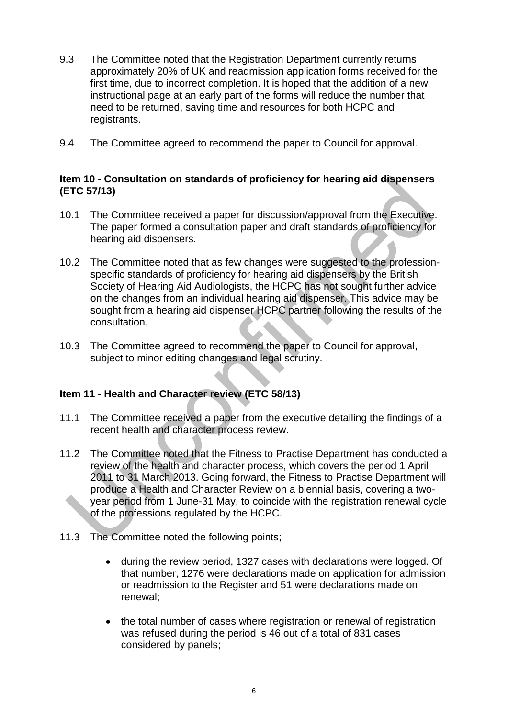- 9.3 The Committee noted that the Registration Department currently returns approximately 20% of UK and readmission application forms received for the first time, due to incorrect completion. It is hoped that the addition of a new instructional page at an early part of the forms will reduce the number that need to be returned, saving time and resources for both HCPC and registrants.
- 9.4 The Committee agreed to recommend the paper to Council for approval.

#### **Item 10 - Consultation on standards of proficiency for hearing aid dispensers (ETC 57/13)**

- 10.1 The Committee received a paper for discussion/approval from the Executive. The paper formed a consultation paper and draft standards of proficiency for hearing aid dispensers.
- 10.2 The Committee noted that as few changes were suggested to the professionspecific standards of proficiency for hearing aid dispensers by the British Society of Hearing Aid Audiologists, the HCPC has not sought further advice on the changes from an individual hearing aid dispenser. This advice may be sought from a hearing aid dispenser HCPC partner following the results of the consultation.
- 10.3 The Committee agreed to recommend the paper to Council for approval, subject to minor editing changes and legal scrutiny.

#### **Item 11 - Health and Character review (ETC 58/13)**

- 11.1 The Committee received a paper from the executive detailing the findings of a recent health and character process review.
- 11.2 The Committee noted that the Fitness to Practise Department has conducted a review of the health and character process, which covers the period 1 April 2011 to 31 March 2013. Going forward, the Fitness to Practise Department will produce a Health and Character Review on a biennial basis, covering a twoyear period from 1 June-31 May, to coincide with the registration renewal cycle of the professions regulated by the HCPC.
- 11.3 The Committee noted the following points;
	- during the review period, 1327 cases with declarations were logged. Of that number, 1276 were declarations made on application for admission or readmission to the Register and 51 were declarations made on renewal;
	- the total number of cases where registration or renewal of registration was refused during the period is 46 out of a total of 831 cases considered by panels;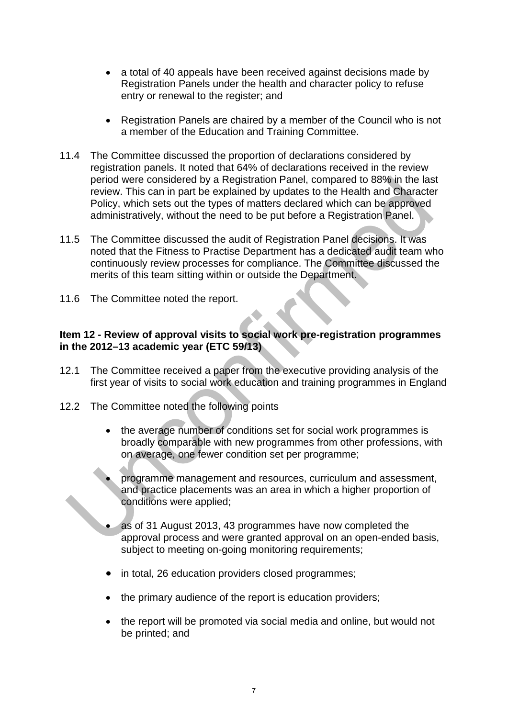- a total of 40 appeals have been received against decisions made by Registration Panels under the health and character policy to refuse entry or renewal to the register; and
- Registration Panels are chaired by a member of the Council who is not a member of the Education and Training Committee.
- 11.4 The Committee discussed the proportion of declarations considered by registration panels. It noted that 64% of declarations received in the review period were considered by a Registration Panel, compared to 88% in the last review. This can in part be explained by updates to the Health and Character Policy, which sets out the types of matters declared which can be approved administratively, without the need to be put before a Registration Panel.
- 11.5 The Committee discussed the audit of Registration Panel decisions. It was noted that the Fitness to Practise Department has a dedicated audit team who continuously review processes for compliance. The Committee discussed the merits of this team sitting within or outside the Department.
- 11.6 The Committee noted the report.

### **Item 12 - Review of approval visits to social work pre-registration programmes in the 2012–13 academic year (ETC 59/13)**

- 12.1 The Committee received a paper from the executive providing analysis of the first year of visits to social work education and training programmes in England
- 12.2 The Committee noted the following points
	- the average number of conditions set for social work programmes is broadly comparable with new programmes from other professions, with on average, one fewer condition set per programme;
	- programme management and resources, curriculum and assessment, and practice placements was an area in which a higher proportion of conditions were applied;
	- as of 31 August 2013, 43 programmes have now completed the approval process and were granted approval on an open-ended basis, subject to meeting on-going monitoring requirements;
	- in total, 26 education providers closed programmes;
	- the primary audience of the report is education providers;
	- the report will be promoted via social media and online, but would not be printed; and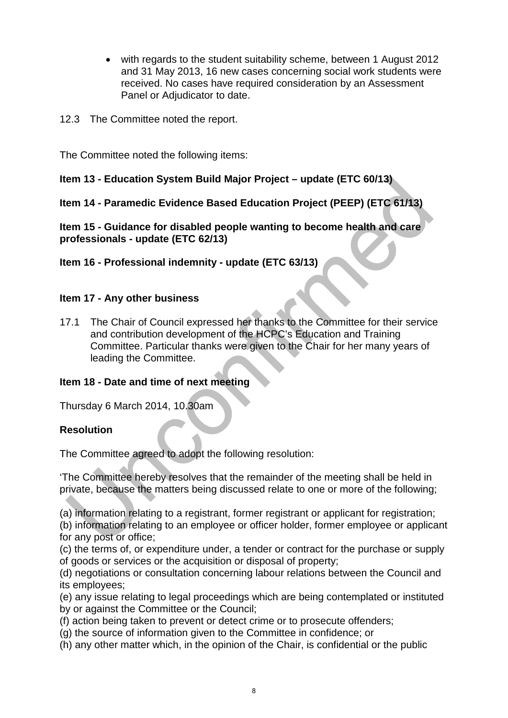- with regards to the student suitability scheme, between 1 August 2012 and 31 May 2013, 16 new cases concerning social work students were received. No cases have required consideration by an Assessment Panel or Adjudicator to date.
- 12.3 The Committee noted the report.

The Committee noted the following items:

### **Item 13 - Education System Build Major Project – update (ETC 60/13)**

# **Item 14 - Paramedic Evidence Based Education Project (PEEP) (ETC 61/13)**

**Item 15 - Guidance for disabled people wanting to become health and care professionals - update (ETC 62/13)**

**Item 16 - Professional indemnity - update (ETC 63/13)**

#### **Item 17 - Any other business**

17.1 The Chair of Council expressed her thanks to the Committee for their service and contribution development of the HCPC's Education and Training Committee. Particular thanks were given to the Chair for her many years of leading the Committee.

#### **Item 18 - Date and time of next meeting**

Thursday 6 March 2014, 10.30am

#### **Resolution**

The Committee agreed to adopt the following resolution:

'The Committee hereby resolves that the remainder of the meeting shall be held in private, because the matters being discussed relate to one or more of the following;

(a) information relating to a registrant, former registrant or applicant for registration;

(b) information relating to an employee or officer holder, former employee or applicant for any post or office;

(c) the terms of, or expenditure under, a tender or contract for the purchase or supply of goods or services or the acquisition or disposal of property;

(d) negotiations or consultation concerning labour relations between the Council and its employees;

(e) any issue relating to legal proceedings which are being contemplated or instituted by or against the Committee or the Council;

(f) action being taken to prevent or detect crime or to prosecute offenders;

(g) the source of information given to the Committee in confidence; or

(h) any other matter which, in the opinion of the Chair, is confidential or the public